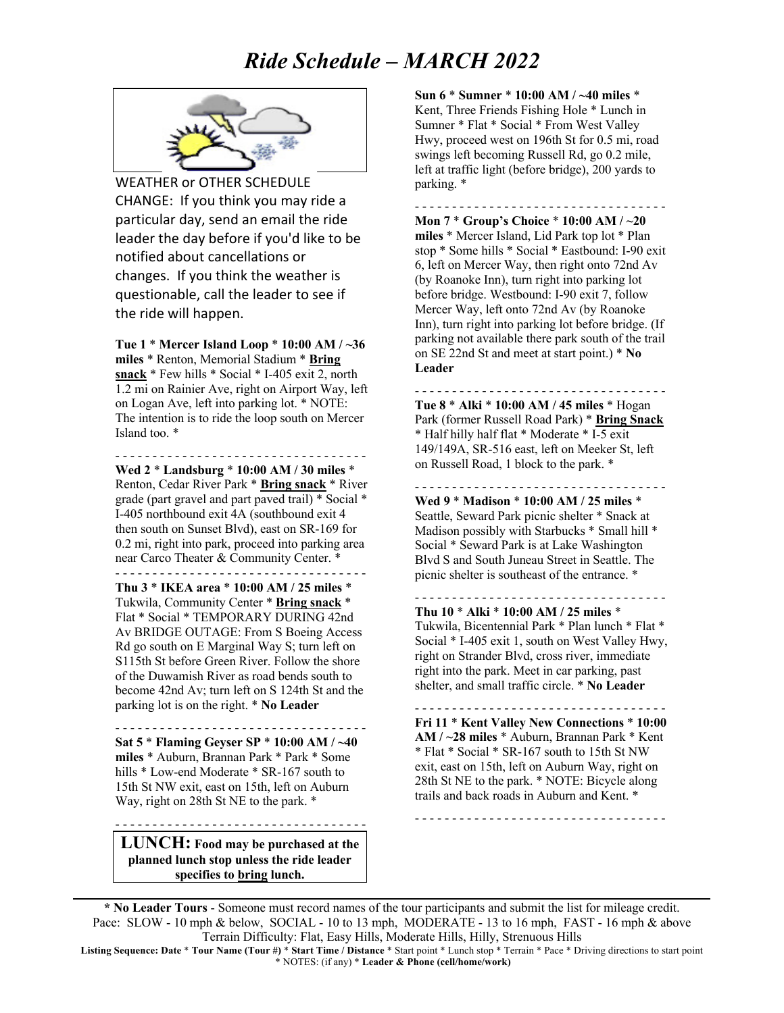## *Ride Schedule – MARCH 2022*



WEATHER or OTHER SCHEDULE CHANGE: If you think you may ride a particular day, send an email the ride leader the day before if you'd like to be notified about cancellations or changes. If you think the weather is questionable, call the leader to see if the ride will happen.

**Tue 1** \* **Mercer Island Loop** \* **10:00 AM / ~36 miles** \* Renton, Memorial Stadium \* **Bring snack** \* Few hills \* Social \* I-405 exit 2, north 1.2 mi on Rainier Ave, right on Airport Way, left on Logan Ave, left into parking lot. \* NOTE: The intention is to ride the loop south on Mercer Island too. \*

**Wed 2** \* **Landsburg** \* **10:00 AM / 30 miles** \* Renton, Cedar River Park \* **Bring snack** \* River grade (part gravel and part paved trail) \* Social \* I-405 northbound exit 4A (southbound exit 4 then south on Sunset Blvd), east on SR-169 for 0.2 mi, right into park, proceed into parking area near Carco Theater & Community Center. \*

- - - - - - - - - - - - - - - - - - - - - - - - - - - - - - - - - -

- - - - - - - - - - - - - - - - - - - - - - - - - - - - - - - - - - **Thu 3** \* **IKEA area** \* **10:00 AM / 25 miles** \* Tukwila, Community Center \* **Bring snack** \* Flat \* Social \* TEMPORARY DURING 42nd Av BRIDGE OUTAGE: From S Boeing Access Rd go south on E Marginal Way S; turn left on S115th St before Green River. Follow the shore of the Duwamish River as road bends south to become 42nd Av; turn left on S 124th St and the parking lot is on the right. \* **No Leader**

- - - - - - - - - - - - - - - - - - - - - - - - - - - - - - - - - - **Sat 5** \* **Flaming Geyser SP** \* **10:00 AM / ~40 miles** \* Auburn, Brannan Park \* Park \* Some hills \* Low-end Moderate \* SR-167 south to 15th St NW exit, east on 15th, left on Auburn Way, right on 28th St NE to the park. \*

**LUNCH: Food may be purchased at the planned lunch stop unless the ride leader specifies to bring lunch.**

- - - - - - - - - - - - - - - - - - - - - - - - - - - - - - - - - -

**Sun 6** \* **Sumner** \* **10:00 AM / ~40 miles** \* Kent, Three Friends Fishing Hole \* Lunch in Sumner \* Flat \* Social \* From West Valley Hwy, proceed west on 196th St for 0.5 mi, road swings left becoming Russell Rd, go 0.2 mile, left at traffic light (before bridge), 200 yards to parking. \*

- - - - - - - - - - - - - - - - - - - - - - - - - - - - - - - - - - **Mon 7** \* **Group's Choice** \* **10:00 AM / ~20 miles** \* Mercer Island, Lid Park top lot \* Plan stop \* Some hills \* Social \* Eastbound: I-90 exit 6, left on Mercer Way, then right onto 72nd Av (by Roanoke Inn), turn right into parking lot before bridge. Westbound: I-90 exit 7, follow Mercer Way, left onto 72nd Av (by Roanoke Inn), turn right into parking lot before bridge. (If parking not available there park south of the trail on SE 22nd St and meet at start point.) \* **No Leader**

**Tue 8** \* **Alki** \* **10:00 AM / 45 miles** \* Hogan Park (former Russell Road Park) \* **Bring Snack** \* Half hilly half flat \* Moderate \* I-5 exit 149/149A, SR-516 east, left on Meeker St, left on Russell Road, 1 block to the park. \*

- - - - - - - - - - - - - - - - - - - - - - - - - - - - - - - - - -

**Wed 9** \* **Madison** \* **10:00 AM / 25 miles** \* Seattle, Seward Park picnic shelter \* Snack at Madison possibly with Starbucks \* Small hill \* Social \* Seward Park is at Lake Washington Blvd S and South Juneau Street in Seattle. The picnic shelter is southeast of the entrance. \*

- - - - - - - - - - - - - - - - - - - - - - - - - - - - - - - - - -

- - - - - - - - - - - - - - - - - - - - - - - - - - - - - - - - - - **Thu 10** \* **Alki** \* **10:00 AM / 25 miles** \* Tukwila, Bicentennial Park \* Plan lunch \* Flat \* Social \* I-405 exit 1, south on West Valley Hwy, right on Strander Blvd, cross river, immediate right into the park. Meet in car parking, past shelter, and small traffic circle. \* **No Leader**

**Fri 11** \* **Kent Valley New Connections** \* **10:00 AM / ~28 miles** \* Auburn, Brannan Park \* Kent \* Flat \* Social \* SR-167 south to 15th St NW exit, east on 15th, left on Auburn Way, right on 28th St NE to the park. \* NOTE: Bicycle along trails and back roads in Auburn and Kent. \*

- - - - - - - - - - - - - - - - - - - - - - - - - - - - - - - - - -

- - - - - - - - - - - - - - - - - - - - - - - - - - - - - - - - - -

**\* No Leader Tours** - Someone must record names of the tour participants and submit the list for mileage credit. Pace: SLOW - 10 mph & below, SOCIAL - 10 to 13 mph, MODERATE - 13 to 16 mph, FAST - 16 mph & above Terrain Difficulty: Flat, Easy Hills, Moderate Hills, Hilly, Strenuous Hills

**Listing Sequence: Date** \* **Tour Name (Tour #)** \* **Start Time / Distance** \* Start point \* Lunch stop \* Terrain \* Pace \* Driving directions to start point \* NOTES: (if any) \* **Leader & Phone (cell/home/work)**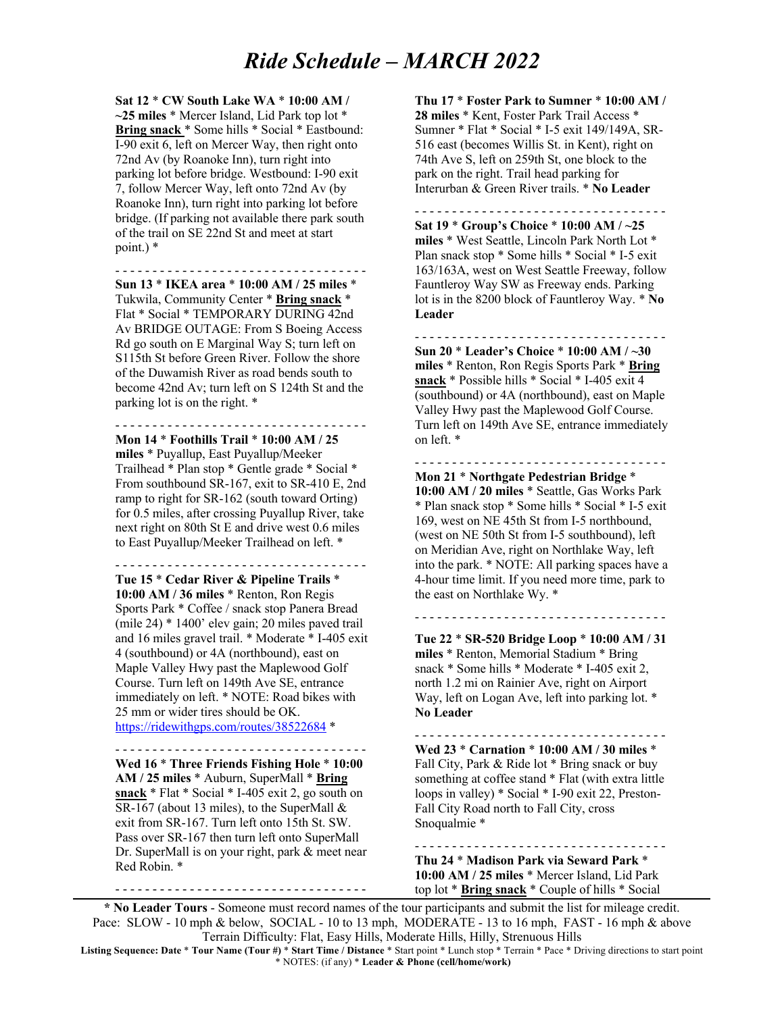## *Ride Schedule – MARCH 2022*

**Sat 12** \* **CW South Lake WA** \* **10:00 AM / ~25 miles** \* Mercer Island, Lid Park top lot \* **Bring snack** \* Some hills \* Social \* Eastbound: I-90 exit 6, left on Mercer Way, then right onto 72nd Av (by Roanoke Inn), turn right into parking lot before bridge. Westbound: I-90 exit 7, follow Mercer Way, left onto 72nd Av (by Roanoke Inn), turn right into parking lot before bridge. (If parking not available there park south of the trail on SE 22nd St and meet at start point.) \*

- - - - - - - - - - - - - - - - - - - - - - - - - - - - - - - - - -

**Sun 13** \* **IKEA area** \* **10:00 AM / 25 miles** \* Tukwila, Community Center \* **Bring snack** \* Flat \* Social \* TEMPORARY DURING 42nd Av BRIDGE OUTAGE: From S Boeing Access Rd go south on E Marginal Way S; turn left on S115th St before Green River. Follow the shore of the Duwamish River as road bends south to become 42nd Av; turn left on S 124th St and the parking lot is on the right. \*

**Mon 14** \* **Foothills Trail** \* **10:00 AM / 25 miles** \* Puyallup, East Puyallup/Meeker Trailhead \* Plan stop \* Gentle grade \* Social \* From southbound SR-167, exit to SR-410 E, 2nd ramp to right for SR-162 (south toward Orting) for 0.5 miles, after crossing Puyallup River, take next right on 80th St E and drive west 0.6 miles

- - - - - - - - - - - - - - - - - - - - - - - - - - - - - - - - - -

to East Puyallup/Meeker Trailhead on left. \* - - - - - - - - - - - - - - - - - - - - - - - - - - - - - - - - - -

**Tue 15** \* **Cedar River & Pipeline Trails** \* **10:00 AM / 36 miles** \* Renton, Ron Regis Sports Park \* Coffee / snack stop Panera Bread (mile 24) \* 1400' elev gain; 20 miles paved trail and 16 miles gravel trail. \* Moderate \* I-405 exit 4 (southbound) or 4A (northbound), east on Maple Valley Hwy past the Maplewood Golf Course. Turn left on 149th Ave SE, entrance immediately on left. \* NOTE: Road bikes with 25 mm or wider tires should be OK.

https://ridewithgps.com/routes/38522684 \*

- - - - - - - - - - - - - - - - - - - - - - - - - - - - - - - - - -

**Wed 16** \* **Three Friends Fishing Hole** \* **10:00 AM / 25 miles** \* Auburn, SuperMall \* **Bring snack** \* Flat \* Social \* I-405 exit 2, go south on SR-167 (about 13 miles), to the SuperMall & exit from SR-167. Turn left onto 15th St. SW. Pass over SR-167 then turn left onto SuperMall Dr. SuperMall is on your right, park & meet near Red Robin. \*

- - - - - - - - - - - - - - - - - - - - - - - - - - - - - - - - - -

**Thu 17** \* **Foster Park to Sumner** \* **10:00 AM / 28 miles** \* Kent, Foster Park Trail Access \* Sumner \* Flat \* Social \* I-5 exit 149/149A, SR-516 east (becomes Willis St. in Kent), right on 74th Ave S, left on 259th St, one block to the park on the right. Trail head parking for Interurban & Green River trails. \* **No Leader**

- - - - - - - - - - - - - - - - - - - - - - - - - - - - - - - - - - **Sat 19** \* **Group's Choice** \* **10:00 AM / ~25 miles** \* West Seattle, Lincoln Park North Lot \* Plan snack stop \* Some hills \* Social \* I-5 exit 163/163A, west on West Seattle Freeway, follow Fauntleroy Way SW as Freeway ends. Parking lot is in the 8200 block of Fauntleroy Way. \* **No Leader**

- - - - - - - - - - - - - - - - - - - - - - - - - - - - - - - - - - **Sun 20** \* **Leader's Choice** \* **10:00 AM / ~30 miles** \* Renton, Ron Regis Sports Park \* **Bring snack** \* Possible hills \* Social \* I-405 exit 4 (southbound) or 4A (northbound), east on Maple Valley Hwy past the Maplewood Golf Course. Turn left on 149th Ave SE, entrance immediately on left. \*

- - - - - - - - - - - - - - - - - - - - - - - - - - - - - - - - - - **Mon 21** \* **Northgate Pedestrian Bridge** \* **10:00 AM / 20 miles** \* Seattle, Gas Works Park \* Plan snack stop \* Some hills \* Social \* I-5 exit 169, west on NE 45th St from I-5 northbound, (west on NE 50th St from I-5 southbound), left on Meridian Ave, right on Northlake Way, left into the park. \* NOTE: All parking spaces have a 4-hour time limit. If you need more time, park to the east on Northlake Wy. \*

**Tue 22** \* **SR-520 Bridge Loop** \* **10:00 AM / 31 miles** \* Renton, Memorial Stadium \* Bring snack \* Some hills \* Moderate \* I-405 exit 2, north 1.2 mi on Rainier Ave, right on Airport Way, left on Logan Ave, left into parking lot. \*

- - - - - - - - - - - - - - - - - - - - - - - - - - - - - - - - - -

- - - - - - - - - - - - - - - - - - - - - - - - - - - - - - - - - - **Wed 23** \* **Carnation** \* **10:00 AM / 30 miles** \* Fall City, Park & Ride lot \* Bring snack or buy something at coffee stand \* Flat (with extra little loops in valley) \* Social \* I-90 exit 22, Preston-Fall City Road north to Fall City, cross Snoqualmie \*

- - - - - - - - - - - - - - - - - - - - - - - - - - - - - - - - - - **Thu 24** \* **Madison Park via Seward Park** \* **10:00 AM / 25 miles** \* Mercer Island, Lid Park top lot \* **Bring snack** \* Couple of hills \* Social

**\* No Leader Tours** - Someone must record names of the tour participants and submit the list for mileage credit. Pace: SLOW - 10 mph & below, SOCIAL - 10 to 13 mph, MODERATE - 13 to 16 mph, FAST - 16 mph & above Terrain Difficulty: Flat, Easy Hills, Moderate Hills, Hilly, Strenuous Hills

**No Leader**

**Listing Sequence: Date** \* **Tour Name (Tour #)** \* **Start Time / Distance** \* Start point \* Lunch stop \* Terrain \* Pace \* Driving directions to start point \* NOTES: (if any) \* **Leader & Phone (cell/home/work)**